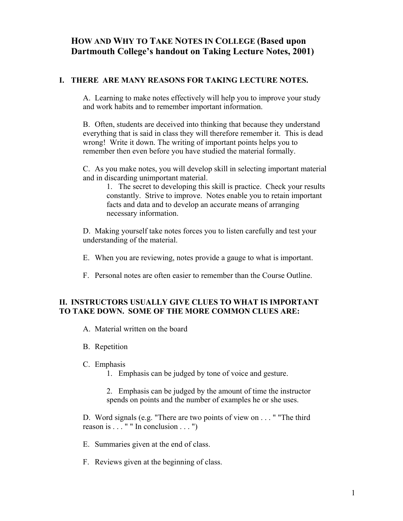# **HOW AND WHY TO TAKE NOTES IN COLLEGE (Based upon Dartmouth College's handout on Taking Lecture Notes, 2001)**

### **I. THERE ARE MANY REASONS FOR TAKING LECTURE NOTES.**

A. Learning to make notes effectively will help you to improve your study and work habits and to remember important information.

B. Often, students are deceived into thinking that because they understand everything that is said in class they will therefore remember it. This is dead wrong! Write it down. The writing of important points helps you to remember then even before you have studied the material formally.

C. As you make notes, you will develop skill in selecting important material and in discarding unimportant material.

1. The secret to developing this skill is practice. Check your results constantly. Strive to improve. Notes enable you to retain important facts and data and to develop an accurate means of arranging necessary information.

D. Making yourself take notes forces you to listen carefully and test your understanding of the material.

- E. When you are reviewing, notes provide a gauge to what is important.
- F. Personal notes are often easier to remember than the Course Outline.

## **II. INSTRUCTORS USUALLY GIVE CLUES TO WHAT IS IMPORTANT TO TAKE DOWN. SOME OF THE MORE COMMON CLUES ARE:**

- A. Material written on the board
- B. Repetition
- C. Emphasis
	- 1. Emphasis can be judged by tone of voice and gesture.
	- 2. Emphasis can be judged by the amount of time the instructor spends on points and the number of examples he or she uses.

D. Word signals (e.g. "There are two points of view on . . . " "The third reason is  $\ldots$  " " In conclusion  $\ldots$  ")

- E. Summaries given at the end of class.
- F. Reviews given at the beginning of class.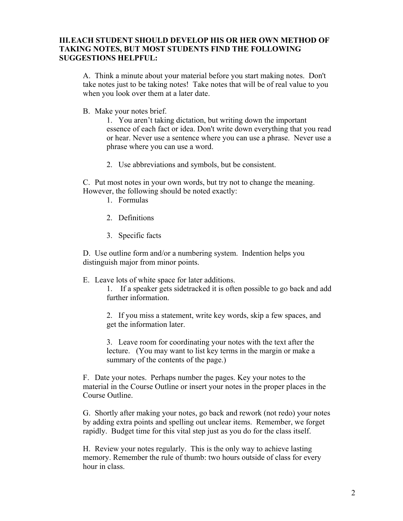## **III. EACH STUDENT SHOULD DEVELOP HIS OR HER OWN METHOD OF TAKING NOTES, BUT MOST STUDENTS FIND THE FOLLOWING SUGGESTIONS HELPFUL:**

A. Think a minute about your material before you start making notes. Don't take notes just to be taking notes! Take notes that will be of real value to you when you look over them at a later date.

B. Make your notes brief.

1. You aren't taking dictation, but writing down the important essence of each fact or idea. Don't write down everything that you read or hear. Never use a sentence where you can use a phrase. Never use a phrase where you can use a word.

2. Use abbreviations and symbols, but be consistent.

C. Put most notes in your own words, but try not to change the meaning. However, the following should be noted exactly:

- 1. Formulas
- 2. Definitions
- 3. Specific facts

D. Use outline form and/or a numbering system. Indention helps you distinguish major from minor points.

E. Leave lots of white space for later additions.

1. If a speaker gets sidetracked it is often possible to go back and add further information.

2. If you miss a statement, write key words, skip a few spaces, and get the information later.

3. Leave room for coordinating your notes with the text after the lecture. (You may want to list key terms in the margin or make a summary of the contents of the page.)

F. Date your notes. Perhaps number the pages. Key your notes to the material in the Course Outline or insert your notes in the proper places in the Course Outline.

G. Shortly after making your notes, go back and rework (not redo) your notes by adding extra points and spelling out unclear items. Remember, we forget rapidly. Budget time for this vital step just as you do for the class itself.

H. Review your notes regularly. This is the only way to achieve lasting memory. Remember the rule of thumb: two hours outside of class for every hour in class.